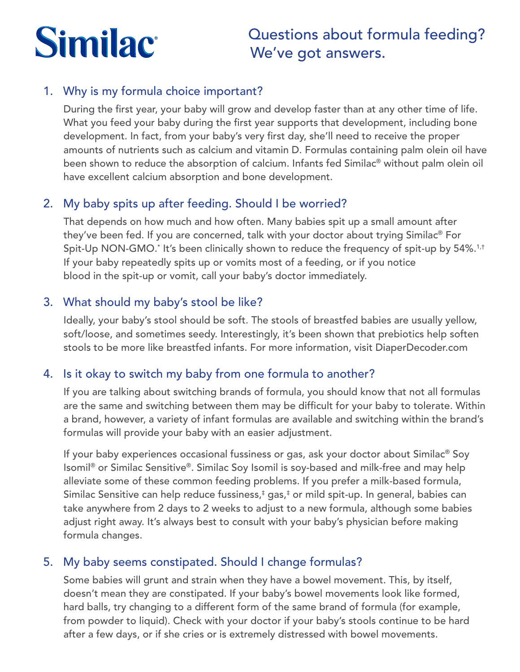# **Similac**

# Questions about formula feeding? We've got answers.

### 1. Why is my formula choice important?

During the first year, your baby will grow and develop faster than at any other time of life. What you feed your baby during the first year supports that development, including bone development. In fact, from your baby's very first day, she'll need to receive the proper amounts of nutrients such as calcium and vitamin D. Formulas containing palm olein oil have been shown to reduce the absorption of calcium. Infants fed Similac® without palm olein oil have excellent calcium absorption and bone development.

## 2. My baby spits up after feeding. Should I be worried?

That depends on how much and how often. Many babies spit up a small amount after they've been fed. If you are concerned, talk with your doctor about trying Similac® For Spit-Up NON-GMO.\* It's been clinically shown to reduce the frequency of spit-up by 54%.1,t If your baby repeatedly spits up or vomits most of a feeding, or if you notice blood in the spit-up or vomit, call your baby's doctor immediately.

#### 3. What should my baby's stool be like?

Ideally, your baby's stool should be soft. The stools of breastfed babies are usually yellow, soft/loose, and sometimes seedy. Interestingly, it's been shown that prebiotics help soften stools to be more like breastfed infants. For more information, visit DiaperDecoder.com

#### 4. Is it okay to switch my baby from one formula to another?

If you are talking about switching brands of formula, you should know that not all formulas are the same and switching between them may be difficult for your baby to tolerate. Within a brand, however, a variety of infant formulas are available and switching within the brand's formulas will provide your baby with an easier adjustment.

If your baby experiences occasional fussiness or gas, ask your doctor about Similac® Soy Isomil® or Similac Sensitive®. Similac Soy Isomil is soy-based and milk-free and may help alleviate some of these common feeding problems. If you prefer a milk-based formula, Similac Sensitive can help reduce fussiness,‡ gas,‡ or mild spit-up. In general, babies can take anywhere from 2 days to 2 weeks to adjust to a new formula, although some babies adjust right away. It's always best to consult with your baby's physician before making formula changes.

## 5. My baby seems constipated. Should I change formulas?

Some babies will grunt and strain when they have a bowel movement. This, by itself, doesn't mean they are constipated. If your baby's bowel movements look like formed, hard balls, try changing to a different form of the same brand of formula (for example, from powder to liquid). Check with your doctor if your baby's stools continue to be hard after a few days, or if she cries or is extremely distressed with bowel movements.